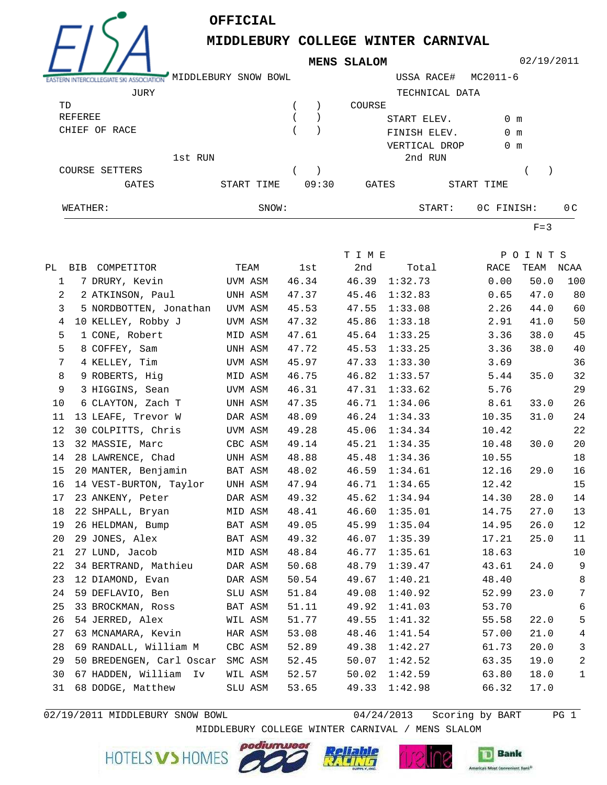

**OFFICIAL**

**MIDDLEBURY COLLEGE WINTER CARNIVAL**

**MENS SLALOM**

ASTERN INTERCOLLEGIATE SKI ASSOCIATION MIDDLEBURY SNOW BOWL USSA RACE# MC2011-6 JURY TECHNICAL DATA TD REFEREE CHIEF OF RACE COURSE VERTICAL DROP  $($  )  $($  )  $($  ) START ELEV. FINISH ELEV. 0 m  $n<sub>m</sub>$  0 m 1st RUN 2nd RUN 2nd RUN COURSE SETTERS ( ) ( )  $F=3$ START TIME WEATHER: SNOW: SNOW: START: 0C FINISH: 0C 09:30 GATES GATES START TIME PL BIB COMPETITOR TEAM 1st 2nd Total T I M E TEAM P O I N T S RACE TEAM NCAA 1 7 DRURY, Kevin UVM ASM 46.34 46.39 1:32.73 0.00 50.0 100 2 2 ATKINSON, Paul UNH ASM 47.37 45.46 1:32.83 0.65 47.0 80 3 5 NORDBOTTEN, Jonathan UVM ASM 45.53 47.55 1:33.08 2.26 44.0 60 4 10 KELLEY, Robby J UVM ASM 47.32 45.86 1:33.18 2.91 41.0 50 5 1 CONE, Robert MID ASM 47.61 45.64 1:33.25 3.36 38.0 45 5 8 COFFEY, Sam UNH ASM 47.72 45.53 1:33.25 3.36 38.0 40 7 4 KELLEY, Tim UVM ASM 45.97 47.33 1:33.30 3.69 36 8 9 ROBERTS, Hig MID ASM 46.75 46.82 1:33.57 5.44 35.0 32 9 3 HIGGINS, Sean UVM ASM 46.31 47.31 1:33.62 5.76 29 10 6 CLAYTON, Zach T UNH ASM 47.35 46.71 1:34.06 8.61 33.0 26 11 13 LEAFE, Trevor W DAR ASM 48.09 46.24 1:34.33 10.35 31.0 24 12 30 COLPITTS, Chris UVM ASM 49.28 45.06 1:34.34 10.42 22 13 32 MASSIE, Marc CBC ASM 49.14 45.21 1:34.35 10.48 30.0 20 14 28 LAWRENCE, Chad UNH ASM 48.88 45.48 1:34.36 10.55 18 15 20 MANTER, Benjamin BAT ASM 48.02 46.59 1:34.61 12.16 29.0 16 16 14 VEST-BURTON, Taylor UNH ASM 47.94 46.71 1:34.65 12.42 15 17 23 ANKENY, Peter DAR ASM 49.32 45.62 1:34.94 14.30 28.0 14 18 22 SHPALL, Bryan MID ASM 48.41 46.60 1:35.01 14.75 27.0 13 19 26 HELDMAN, Bump BAT ASM 49.05 45.99 1:35.04 14.95 26.0 12 20 29 JONES, Alex BAT ASM 49.32 46.07 1:35.39 17.21 25.0 11 21 27 LUND, Jacob MID ASM 48.84 46.77 1:35.61 18.63 10 22 34 BERTRAND, Mathieu DAR ASM 50.68 48.79 1:39.47 43.61 24.0 9 23 12 DIAMOND, Evan DAR ASM 50.54 49.67 1:40.21 48.40 8 24 59 DEFLAVIO, Ben SLU ASM 51.84 49.08 1:40.92 52.99 23.0 7 25 33 BROCKMAN, Ross BAT ASM 51.11 49.92 1:41.03 53.70 6 26 54 JERRED, Alex WIL ASM 51.77 49.55 1:41.32 55.58 22.0 5 27 63 MCNAMARA, Kevin HAR ASM 53.08 48.46 1:41.54 57.00 21.0 4 28 69 RANDALL, William M CBC ASM 52.89 49.38 1:42.27 61.73 20.0 3 29 50 BREDENGEN, Carl Oscar SMC ASM 52.45 50.07 1:42.52 63.35 19.0 2 30 67 HADDEN, William Iv WIL ASM 52.57 50.02 1:42.59 63.80 18.0 1 31 68 DODGE, Matthew SLU ASM 53.65 49.33 1:42.98 66.32 17.0

02/19/2011 MIDDLEBURY SNOW BOWL

04/24/2013 Scoring by BART PG 1

02/19/2011

MIDDLEBURY COLLEGE WINTER CARNIVAL / MENS SLALOM

HOTELS VS HOMES